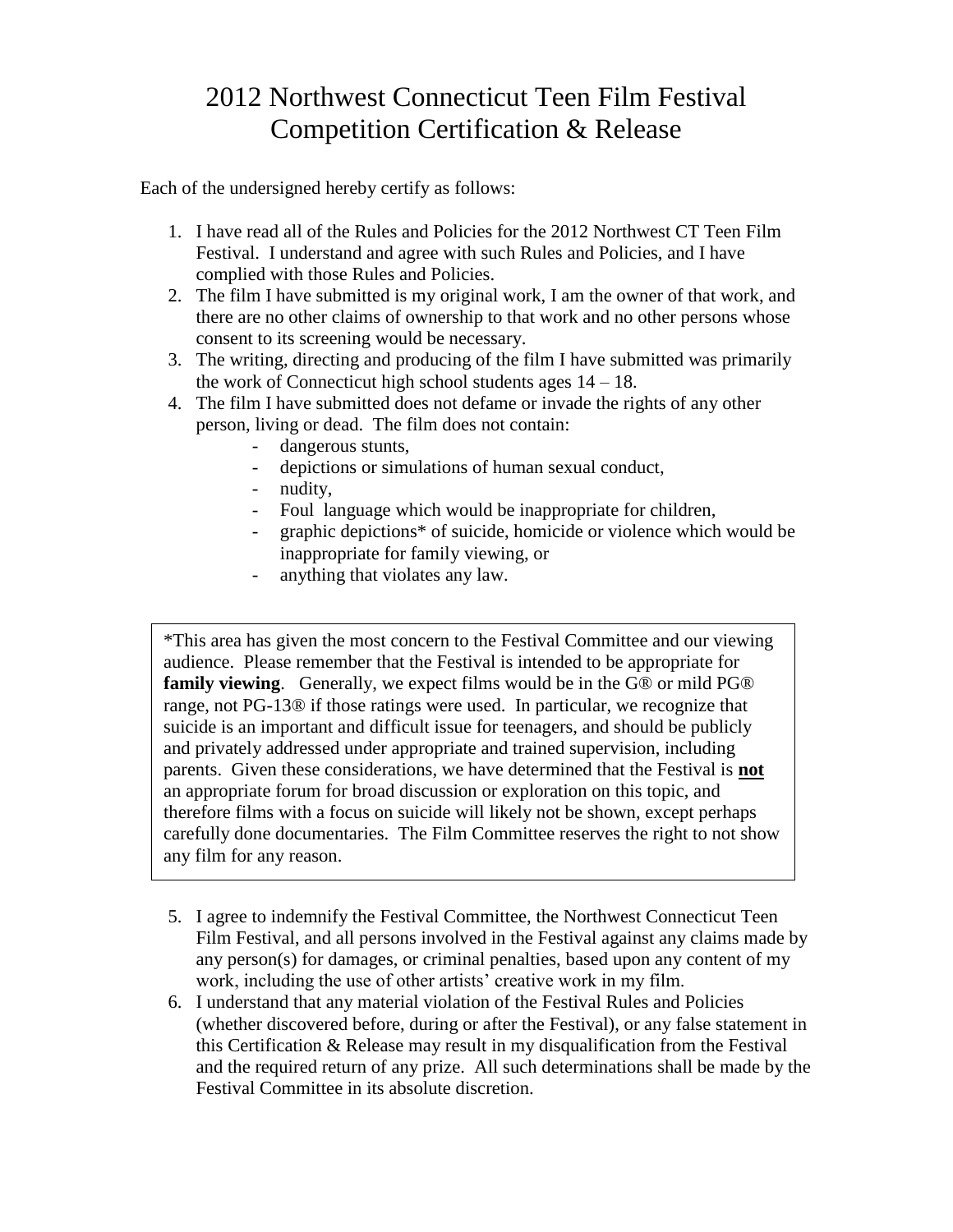## 2012 Northwest Connecticut Teen Film Festival Competition Certification & Release

Each of the undersigned hereby certify as follows:

- 1. I have read all of the Rules and Policies for the 2012 Northwest CT Teen Film Festival. I understand and agree with such Rules and Policies, and I have complied with those Rules and Policies.
- 2. The film I have submitted is my original work, I am the owner of that work, and there are no other claims of ownership to that work and no other persons whose consent to its screening would be necessary.
- 3. The writing, directing and producing of the film I have submitted was primarily the work of Connecticut high school students ages  $14 - 18$ .
- 4. The film I have submitted does not defame or invade the rights of any other person, living or dead. The film does not contain:
	- dangerous stunts,
	- depictions or simulations of human sexual conduct,
	- nudity,
	- Foul language which would be inappropriate for children,
	- graphic depictions\* of suicide, homicide or violence which would be inappropriate for family viewing, or
	- anything that violates any law.

\*This area has given the most concern to the Festival Committee and our viewing audience. Please remember that the Festival is intended to be appropriate for **family viewing**. Generally, we expect films would be in the G® or mild PG® range, not PG-13® if those ratings were used. In particular, we recognize that suicide is an important and difficult issue for teenagers, and should be publicly and privately addressed under appropriate and trained supervision, including parents. Given these considerations, we have determined that the Festival is **not** an appropriate forum for broad discussion or exploration on this topic, and therefore films with a focus on suicide will likely not be shown, except perhaps carefully done documentaries. The Film Committee reserves the right to not show any film for any reason.

- 5. I agree to indemnify the Festival Committee, the Northwest Connecticut Teen Film Festival, and all persons involved in the Festival against any claims made by any person(s) for damages, or criminal penalties, based upon any content of my work, including the use of other artists' creative work in my film.
- 6. I understand that any material violation of the Festival Rules and Policies (whether discovered before, during or after the Festival), or any false statement in this Certification & Release may result in my disqualification from the Festival and the required return of any prize. All such determinations shall be made by the Festival Committee in its absolute discretion.